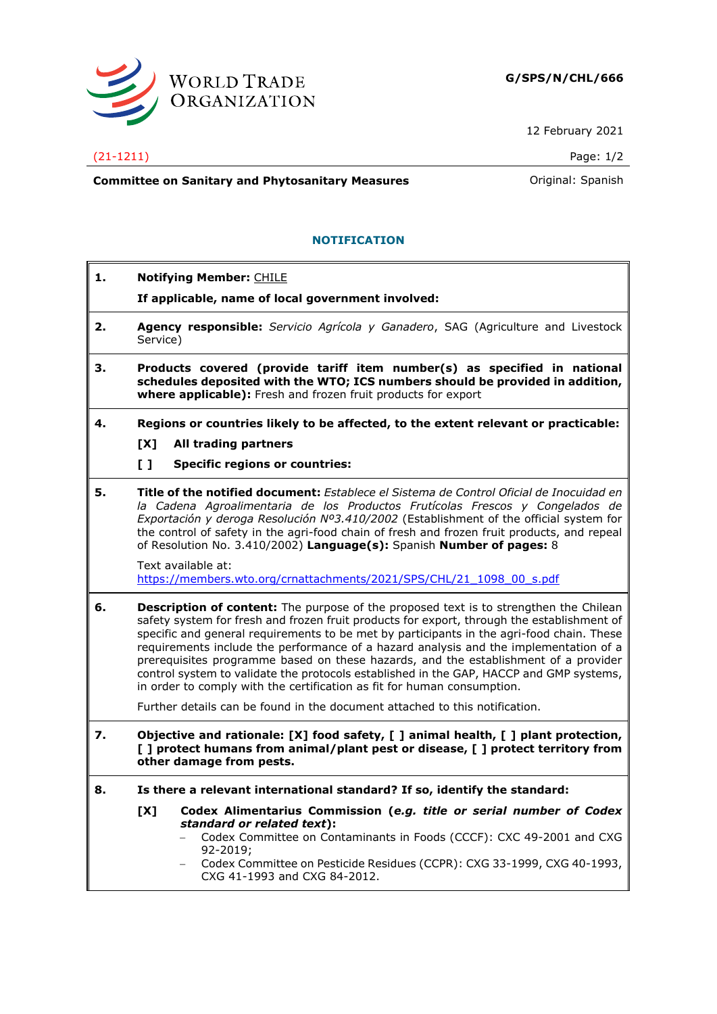

12 February 2021

## (21-1211) Page: 1/2

**Committee on Sanitary and Phytosanitary Measures Committee on Sanish Committee on Sanish** 

## **NOTIFICATION**

**1. Notifying Member:** CHILE **If applicable, name of local government involved: 2. Agency responsible:** *Servicio Agrícola y Ganadero*, SAG (Agriculture and Livestock Service) **3. Products covered (provide tariff item number(s) as specified in national schedules deposited with the WTO; ICS numbers should be provided in addition, where applicable):** Fresh and frozen fruit products for export **4. Regions or countries likely to be affected, to the extent relevant or practicable: [X] All trading partners [ ] Specific regions or countries: 5. Title of the notified document:** *Establece el Sistema de Control Oficial de Inocuidad en la Cadena Agroalimentaria de los Productos Frutícolas Frescos y Congelados de Exportación y deroga Resolución Nº3.410/2002* (Establishment of the official system for the control of safety in the agri-food chain of fresh and frozen fruit products, and repeal of Resolution No. 3.410/2002) **Language(s):** Spanish **Number of pages:** 8 Text available at: [https://members.wto.org/crnattachments/2021/SPS/CHL/21\\_1098\\_00\\_s.pdf](https://members.wto.org/crnattachments/2021/SPS/CHL/21_1098_00_s.pdf) **6. Description of content:** The purpose of the proposed text is to strengthen the Chilean safety system for fresh and frozen fruit products for export, through the establishment of specific and general requirements to be met by participants in the agri-food chain. These requirements include the performance of a hazard analysis and the implementation of a prerequisites programme based on these hazards, and the establishment of a provider control system to validate the protocols established in the GAP, HACCP and GMP systems, in order to comply with the certification as fit for human consumption. Further details can be found in the document attached to this notification. **7. Objective and rationale: [X] food safety, [ ] animal health, [ ] plant protection, [ ] protect humans from animal/plant pest or disease, [ ] protect territory from other damage from pests. 8. Is there a relevant international standard? If so, identify the standard: [X] Codex Alimentarius Commission (***e.g. title or serial number of Codex standard or related text***):** − Codex Committee on Contaminants in Foods (CCCF): CXC 49-2001 and CXG 92-2019; − Codex Committee on Pesticide Residues (CCPR): CXG 33-1999, CXG 40-1993, CXG 41-1993 and CXG 84-2012.